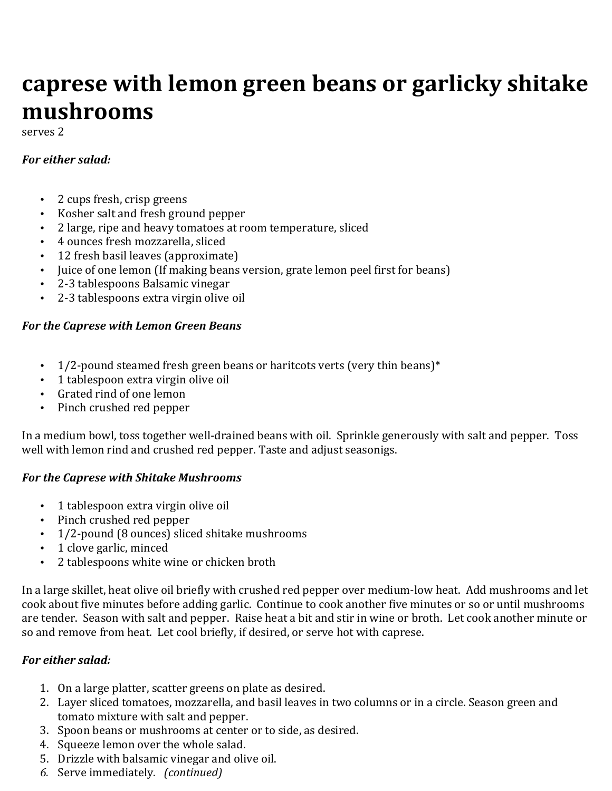# **caprese with lemon green beans or garlicky shitake mushrooms**

serves 2

## *For either salad:*

- 2 cups fresh, crisp greens
- Kosher salt and fresh ground pepper
- 2 large, ripe and heavy tomatoes at room temperature, sliced
- 4 ounces fresh mozzarella, sliced
- 12 fresh basil leaves (approximate)
- Juice of one lemon (If making beans version, grate lemon peel first for beans)
- 2-3 tablespoons Balsamic vinegar
- 2-3 tablespoons extra virgin olive oil

### **For the Caprese with Lemon Green Beans**

- $1/2$ -pound steamed fresh green beans or haritcots verts (very thin beans)\*
- 1 tablespoon extra virgin olive oil
- Grated rind of one lemon
- Pinch crushed red pepper

In a medium bowl, toss together well-drained beans with oil. Sprinkle generously with salt and pepper. Toss well with lemon rind and crushed red pepper. Taste and adjust seasonigs.

### *For the Caprese with Shitake Mushrooms*

- 1 tablespoon extra virgin olive oil
- Pinch crushed red pepper
- 1/2-pound (8 ounces) sliced shitake mushrooms
- 1 clove garlic, minced
- 2 tablespoons white wine or chicken broth

In a large skillet, heat olive oil briefly with crushed red pepper over medium-low heat. Add mushrooms and let cook about five minutes before adding garlic. Continue to cook another five minutes or so or until mushrooms are tender. Season with salt and pepper. Raise heat a bit and stir in wine or broth. Let cook another minute or so and remove from heat. Let cool briefly, if desired, or serve hot with caprese.

### **For either salad:**

- 1. On a large platter, scatter greens on plate as desired.
- 2. Layer sliced tomatoes, mozzarella, and basil leaves in two columns or in a circle. Season green and tomato mixture with salt and pepper.
- 3. Spoon beans or mushrooms at center or to side, as desired.
- 4. Squeeze lemon over the whole salad.
- 5. Drizzle with balsamic vinegar and olive oil.
- 6. Serve immediately. (continued)